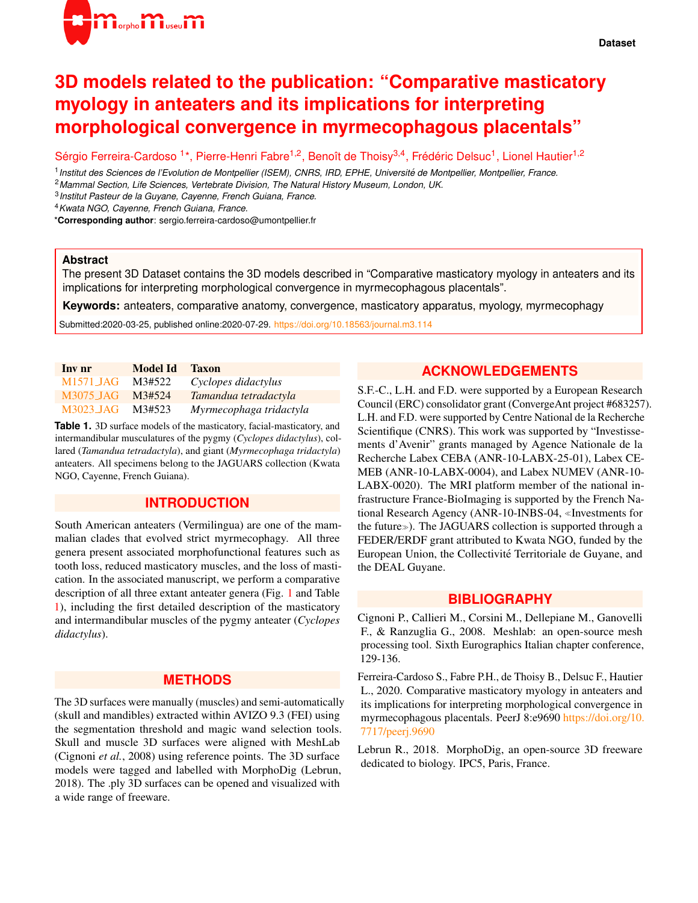

# **3D models related to the publication: "Comparative masticatory myology in anteaters and its implications for interpreting morphological convergence in myrmecophagous placentals"**

Sérgio Ferreira-Cardoso <sup>1\*</sup>, Pierre-Henri Fabre<sup>1,2</sup>, Benoît de Thoisy<sup>3,4</sup>, Frédéric Delsuc<sup>1</sup>, Lionel Hautier<sup>1,2</sup>

1 *Institut des Sciences de l'Evolution de Montpellier (ISEM), CNRS, IRD, EPHE, Universite de Montpellier, Montpellier, France. ´* <sup>2</sup>*Mammal Section, Life Sciences, Vertebrate Division, The Natural History Museum, London, UK.*

3 *Institut Pasteur de la Guyane, Cayenne, French Guiana, France.*

<sup>4</sup>*Kwata NGO, Cayenne, French Guiana, France.*

\***Corresponding author**: sergio.ferreira-cardoso@umontpellier.fr

#### **Abstract**

The present 3D Dataset contains the 3D models described in "Comparative masticatory myology in anteaters and its implications for interpreting morphological convergence in myrmecophagous placentals".

**Keywords:** anteaters, comparative anatomy, convergence, masticatory apparatus, myology, myrmecophagy

Submitted:2020-03-25, published online:2020-07-29. <https://doi.org/10.18563/journal.m3.114>

<span id="page-0-0"></span>

| Inv nr    | Model Id | <b>Taxon</b>            |
|-----------|----------|-------------------------|
| M1571 JAG | M3#522   | Cyclopes didactylus     |
| M3075 JAG | M3#524   | Tamandua tetradactyla   |
| M3023 JAG | M3#523   | Myrmecophaga tridactyla |

**Table 1.** 3D surface models of the masticatory, facial-masticatory, and intermandibular musculatures of the pygmy (*Cyclopes didactylus*), collared (*Tamandua tetradactyla*), and giant (*Myrmecophaga tridactyla*) anteaters. All specimens belong to the JAGUARS collection (Kwata NGO, Cayenne, French Guiana).

## **INTRODUCTION**

South American anteaters (Vermilingua) are one of the mammalian clades that evolved strict myrmecophagy. All three genera present associated morphofunctional features such as tooth loss, reduced masticatory muscles, and the loss of mastication. In the associated manuscript, we perform a comparative description of all three extant anteater genera (Fig. [1](#page-1-0) and Table [1\)](#page-0-0), including the first detailed description of the masticatory and intermandibular muscles of the pygmy anteater (*Cyclopes didactylus*).

### **METHODS**

The 3D surfaces were manually (muscles) and semi-automatically (skull and mandibles) extracted within AVIZO 9.3 (FEI) using the segmentation threshold and magic wand selection tools. Skull and muscle 3D surfaces were aligned with MeshLab (Cignoni *et al.*, 2008) using reference points. The 3D surface models were tagged and labelled with MorphoDig (Lebrun, 2018). The .ply 3D surfaces can be opened and visualized with a wide range of freeware.

## **ACKNOWLEDGEMENTS**

S.F.-C., L.H. and F.D. were supported by a European Research Council (ERC) consolidator grant (ConvergeAnt project #683257). L.H. and F.D. were supported by Centre National de la Recherche Scientifique (CNRS). This work was supported by "Investissements d'Avenir" grants managed by Agence Nationale de la Recherche Labex CEBA (ANR-10-LABX-25-01), Labex CE-MEB (ANR-10-LABX-0004), and Labex NUMEV (ANR-10- LABX-0020). The MRI platform member of the national infrastructure France-BioImaging is supported by the French National Research Agency (ANR-10-INBS-04, «Investments for the future»). The JAGUARS collection is supported through a FEDER/ERDF grant attributed to Kwata NGO, funded by the European Union, the Collectivite Territoriale de Guyane, and ´ the DEAL Guyane.

#### **BIBLIOGRAPHY**

Cignoni P., Callieri M., Corsini M., Dellepiane M., Ganovelli F., & Ranzuglia G., 2008. Meshlab: an open-source mesh processing tool. Sixth Eurographics Italian chapter conference, 129-136.

Ferreira-Cardoso S., Fabre P.H., de Thoisy B., Delsuc F., Hautier L., 2020. Comparative masticatory myology in anteaters and its implications for interpreting morphological convergence in myrmecophagous placentals. PeerJ 8:e9690 [https://doi.org/10.](https://doi.org/10.7717/peerj.9690) [7717/peerj.9690](https://doi.org/10.7717/peerj.9690)

Lebrun R., 2018. MorphoDig, an open-source 3D freeware dedicated to biology. IPC5, Paris, France.